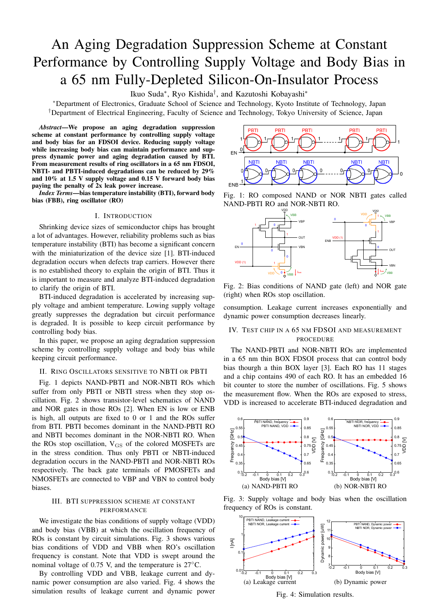# An Aging Degradation Suppression Scheme at Constant Performance by Controlling Supply Voltage and Body Bias in a 65 nm Fully-Depleted Silicon-On-Insulator Process

Ikuo Suda*∗* , Ryo Kishida*†* , and Kazutoshi Kobayashi*∗*

*∗*Department of Electronics, Graduate School of Science and Technology, Kyoto Institute of Technology, Japan *†*Department of Electrical Engineering, Faculty of Science and Technology, Tokyo University of Science, Japan

*Abstract*—We propose an aging degradation suppression scheme at constant performance by controlling supply voltage and body bias for an FDSOI device. Reducing supply voltage while increasing body bias can maintain performance and suppress dynamic power and aging degradation caused by BTI. From measurement results of ring oscillators in a 65 nm FDSOI, NBTI- and PBTI-induced degradations can be reduced by 29% and 10% at 1.5 V supply voltage and 0.15 V forward body bias paying the penalty of 2x leak power increase.

*Index Terms*—bias temperature instability (BTI), forward body bias (FBB), ring oscillator (RO)

## I. INTRODUCTION

Shrinking device sizes of semiconductor chips has brought a lot of advantages. However, reliability problems such as bias temperature instability (BTI) has become a significant concern with the miniaturization of the device size [1]. BTI-induced degradation occurs when defects trap carriers. However there is no established theory to explain the origin of BTI. Thus it is important to measure and analyze BTI-induced degradation to clarify the origin of BTI.

BTI-induced degradation is accelerated by increasing supply voltage and ambient temperature. Lowing supply voltage greatly suppresses the degradation but circuit performance is degraded. It is possible to keep circuit performance by controlling body bias.

In this paper, we propose an aging degradation suppression scheme by controlling supply voltage and body bias while keeping circuit performance.

# II. RING OSCILLATORS SENSITIVE TO NBTI OR PBTI

Fig. 1 depicts NAND-PBTI and NOR-NBTI ROs which suffer from only PBTI or NBTI stress when they stop oscillation. Fig. 2 shows transistor-level schematics of NAND and NOR gates in those ROs [2]. When EN is low or ENB is high, all outputs are fixed to 0 or 1 and the ROs suffer from BTI. PBTI becomes dominant in the NAND-PBTI RO and NBTI becomes dominant in the NOR-NBTI RO. When the ROs stop oscillation,  $V_{GS}$  of the colored MOSFETs are in the stress condition. Thus only PBTI or NBTI-induced degradation occurs in the NAND-PBTI and NOR-NBTI ROs respectively. The back gate terminals of PMOSFETs and NMOSFETs are connected to VBP and VBN to control body biases.

# III. BTI SUPPRESSION SCHEME AT CONSTANT PERFORMANCE

We investigate the bias conditions of supply voltage (VDD) and body bias (VBB) at which the oscillation frequency of ROs is constant by circuit simulations. Fig. 3 shows various bias conditions of VDD and VBB when RO's oscillation frequency is constant. Note that VDD is swept around the nominal voltage of 0.75 V, and the temperature is 27*◦*C.

By controlling VDD and VBB, leakage current and dynamic power consumption are also varied. Fig. 4 shows the simulation results of leakage current and dynamic power



Fig. 1: RO composed NAND or NOR NBTI gates called NAND-PBTI RO and NOR-NBTI RO.



Fig. 2: Bias conditions of NAND gate (left) and NOR gate (right) when ROs stop oscillation.

consumption. Leakage current increases exponentially and dynamic power consumption decreases linearly.

## IV. TEST CHIP IN A 65 NM FDSOI AND MEASUREMENT PROCEDURE

The NAND-PBTI and NOR-NBTI ROs are implemented in a 65 nm thin BOX FDSOI process that can control body bias thourgh a thin BOX layer [3]. Each RO has 11 stages and a chip contains 490 of each RO. It has an embedded 16 bit counter to store the number of oscillations. Fig. 5 shows the measurement flow. When the ROs are exposed to stress, VDD is increased to accelerate BTI-induced degradation and



Fig. 3: Supply voltage and body bias when the oscillation frequency of ROs is constant.



Fig. 4: Simulation results.